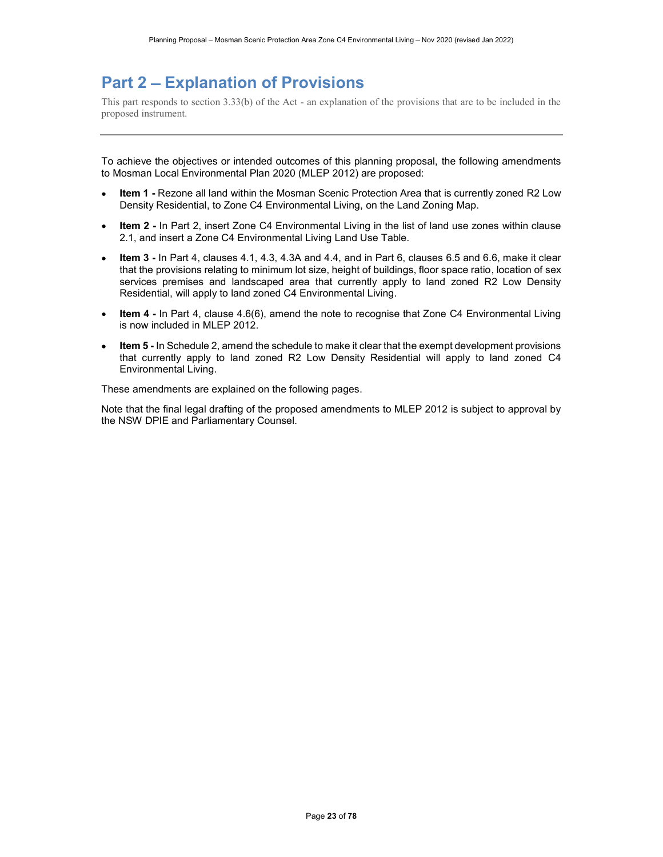# Part 2 – Explanation of Provisions

This part responds to section 3.33(b) of the Act - an explanation of the provisions that are to be included in the proposed instrument.

To achieve the objectives or intended outcomes of this planning proposal, the following amendments to Mosman Local Environmental Plan 2020 (MLEP 2012) are proposed:

- Item 1 Rezone all land within the Mosman Scenic Protection Area that is currently zoned R2 Low Density Residential, to Zone C4 Environmental Living, on the Land Zoning Map.
- Item 2 In Part 2, insert Zone C4 Environmental Living in the list of land use zones within clause  $\bullet$ 2.1, and insert a Zone C4 Environmental Living Land Use Table.
- Item 3 In Part 4, clauses 4.1, 4.3, 4.3A and 4.4, and in Part 6, clauses 6.5 and 6.6, make it clear  $\bullet$ that the provisions relating to minimum lot size, height of buildings, floor space ratio, location of sex services premises and landscaped area that currently apply to land zoned R2 Low Density Residential, will apply to land zoned C4 Environmental Living.
- Item 4 In Part 4, clause 4.6(6), amend the note to recognise that Zone C4 Environmental Living  $\bullet$ is now included in MLEP 2012.
- Item 5 In Schedule 2, amend the schedule to make it clear that the exempt development provisions  $\bullet$ that currently apply to land zoned R2 Low Density Residential will apply to land zoned C4 Environmental Living.

These amendments are explained on the following pages.

Note that the final legal drafting of the proposed amendments to MLEP 2012 is subject to approval by the NSW DPIE and Parliamentary Counsel.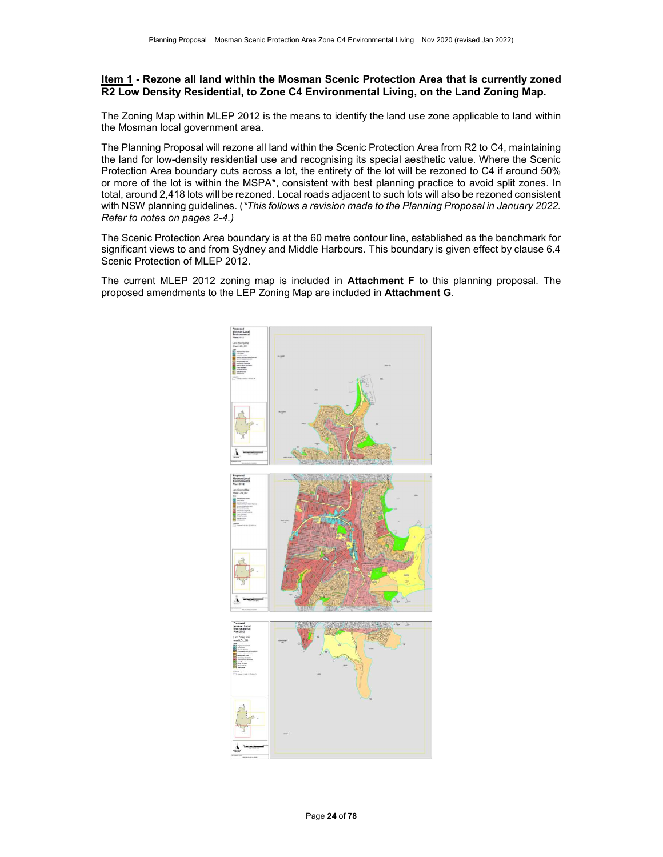# Item 1 - Rezone all land within the Mosman Scenic Protection Area that is currently zoned R2 Low Density Residential, to Zone C4 Environmental Living, on the Land Zoning Map.

The Zoning Map within MLEP 2012 is the means to identify the land use zone applicable to land within the Mosman local government area.

The Planning Proposal will rezone all land within the Scenic Protection Area from R2 to C4, maintaining the land for low-density residential use and recognising its special aesthetic value. Where the Scenic Protection Area boundary cuts across a lot, the entirety of the lot will be rezoned to C4 if around 50% or more of the lot is within the MSPA\*, consistent with best planning practice to avoid split zones. In total, around 2,418 lots will be rezoned. Local roads adjacent to such lots will also be rezoned consistent with NSW planning guidelines. (\*This follows a revision made to the Planning Proposal in January 2022. Refer to notes on pages 2-4.)

The Scenic Protection Area boundary is at the 60 metre contour line, established as the benchmark for significant views to and from Sydney and Middle Harbours. This boundary is given effect by clause 6.4 Scenic Protection of MLEP 2012.

The current MLEP 2012 zoning map is included in **Attachment F** to this planning proposal. The proposed amendments to the LEP Zoning Map are included in Attachment G.

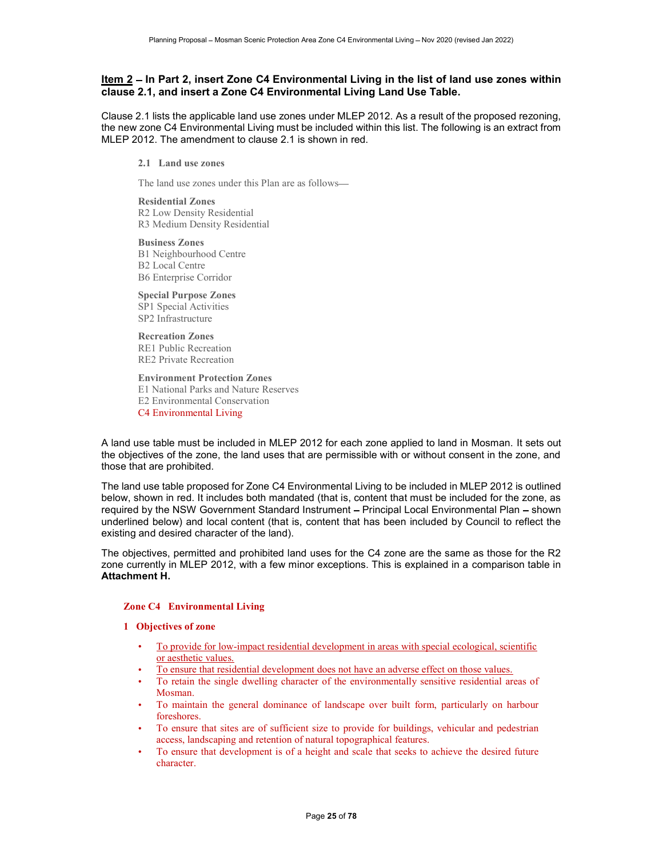# Item 2 – In Part 2, insert Zone C4 Environmental Living in the list of land use zones within clause 2.1, and insert a Zone C4 Environmental Living Land Use Table.

Clause 2.1 lists the applicable land use zones under MLEP 2012. As a result of the proposed rezoning, the new zone C4 Environmental Living must be included within this list. The following is an extract from MLEP 2012. The amendment to clause 2.1 is shown in red.

2.1 Land use zones

The land use zones under this Plan are as follows

Residential Zones R2 Low Density Residential R3 Medium Density Residential

Business Zones B1 Neighbourhood Centre B2 Local Centre B6 Enterprise Corridor

Special Purpose Zones SP1 Special Activities SP2 Infrastructure

Recreation Zones RE1 Public Recreation RE2 Private Recreation

Environment Protection Zones

E1 National Parks and Nature Reserves E2 Environmental Conservation

C4 Environmental Living

A land use table must be included in MLEP 2012 for each zone applied to land in Mosman. It sets out the objectives of the zone, the land uses that are permissible with or without consent in the zone, and those that are prohibited.

The land use table proposed for Zone C4 Environmental Living to be included in MLEP 2012 is outlined below, shown in red. It includes both mandated (that is, content that must be included for the zone, as required by the NSW Government Standard Instrument - Principal Local Environmental Plan - shown underlined below) and local content (that is, content that has been included by Council to reflect the existing and desired character of the land).

The objectives, permitted and prohibited land uses for the C4 zone are the same as those for the R2 zone currently in MLEP 2012, with a few minor exceptions. This is explained in a comparison table in Attachment H.

## Zone C4 Environmental Living

## 1 Objectives of zone

- To provide for low-impact residential development in areas with special ecological, scientific or aesthetic values.
- To ensure that residential development does not have an adverse effect on those values.
- To retain the single dwelling character of the environmentally sensitive residential areas of Mosman.
- To maintain the general dominance of landscape over built form, particularly on harbour foreshores.
- To ensure that sites are of sufficient size to provide for buildings, vehicular and pedestrian access, landscaping and retention of natural topographical features.
- To ensure that development is of a height and scale that seeks to achieve the desired future character.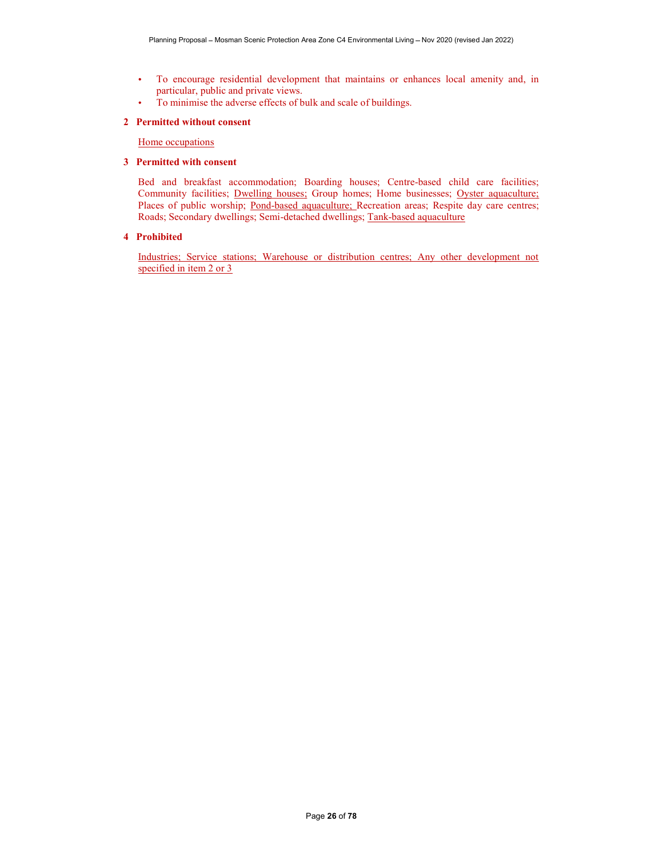- To encourage residential development that maintains or enhances local amenity and, in  $\bullet$ particular, public and private views.
- To minimise the adverse effects of bulk and scale of buildings.  $\bullet$

### 2 Permitted without consent

Home occupations

### 3 Permitted with consent

Bed and breakfast accommodation; Boarding houses; Centre-based child care facilities; Community facilities; Dwelling houses; Group homes; Home businesses; Oyster aquaculture; Places of public worship; Pond-based aquaculture; Recreation areas; Respite day care centres; Roads; Secondary dwellings; Semi-detached dwellings; Tank-based aquaculture

#### 4 Prohibited

Industries; Service stations; Warehouse or distribution centres; Any other development not specified in item 2 or 3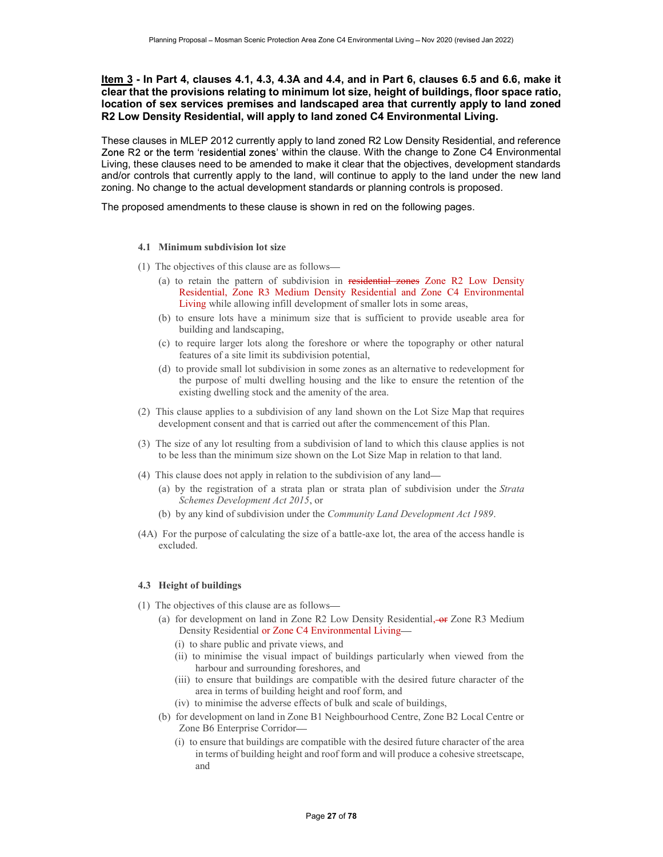# Item 3 - In Part 4, clauses 4.1, 4.3, 4.3A and 4.4, and in Part 6, clauses 6.5 and 6.6, make it clear that the provisions relating to minimum lot size, height of buildings, floor space ratio, location of sex services premises and landscaped area that currently apply to land zoned R2 Low Density Residential, will apply to land zoned C4 Environmental Living.

These clauses in MLEP 2012 currently apply to land zoned R2 Low Density Residential, and reference Zone R2 or the term 'residential zones' within the clause. With the change to Zone C4 Environmental Living, these clauses need to be amended to make it clear that the objectives, development standards and/or controls that currently apply to the land, will continue to apply to the land under the new land zoning. No change to the actual development standards or planning controls is proposed.

The proposed amendments to these clause is shown in red on the following pages.

## 4.1 Minimum subdivision lot size

- (1) The objectives of this clause are as follows
	- (a) to retain the pattern of subdivision in residential zones Zone R2 Low Density Residential, Zone R3 Medium Density Residential and Zone C4 Environmental Living while allowing infill development of smaller lots in some areas,
	- (b) to ensure lots have a minimum size that is sufficient to provide useable area for building and landscaping,
	- (c) to require larger lots along the foreshore or where the topography or other natural features of a site limit its subdivision potential,
	- (d) to provide small lot subdivision in some zones as an alternative to redevelopment for the purpose of multi dwelling housing and the like to ensure the retention of the existing dwelling stock and the amenity of the area.
- (2) This clause applies to a subdivision of any land shown on the Lot Size Map that requires development consent and that is carried out after the commencement of this Plan.
- (3) The size of any lot resulting from a subdivision of land to which this clause applies is not to be less than the minimum size shown on the Lot Size Map in relation to that land.
- (4) This clause does not apply in relation to the subdivision of any land
	- (a) by the registration of a strata plan or strata plan of subdivision under the Strata Schemes Development Act 2015, or
	-
- (b) by any kind of subdivision under the *Community Land Development Act 1989*.<br>(4A) For the purpose of calculating the size of a battle-axe lot, the area of the access handle is excluded.

## 4.3 Height of buildings

- (1) The objectives of this clause are as follows
	- (a) for development on land in Zone R2 Low Density Residential,  $\overline{or}$  Zone R3 Medium Density Residential or Zone C4 Environmental Living
		- (i) to share public and private views, and
		- (ii) to minimise the visual impact of buildings particularly when viewed from the harbour and surrounding foreshores, and
		- (iii) to ensure that buildings are compatible with the desired future character of the area in terms of building height and roof form, and
		- (iv) to minimise the adverse effects of bulk and scale of buildings,
	- (b) for development on land in Zone B1 Neighbourhood Centre, Zone B2 Local Centre or Zone B6 Enterprise Corridor
		- (i) to ensure that buildings are compatible with the desired future character of the area in terms of building height and roof form and will produce a cohesive streetscape, and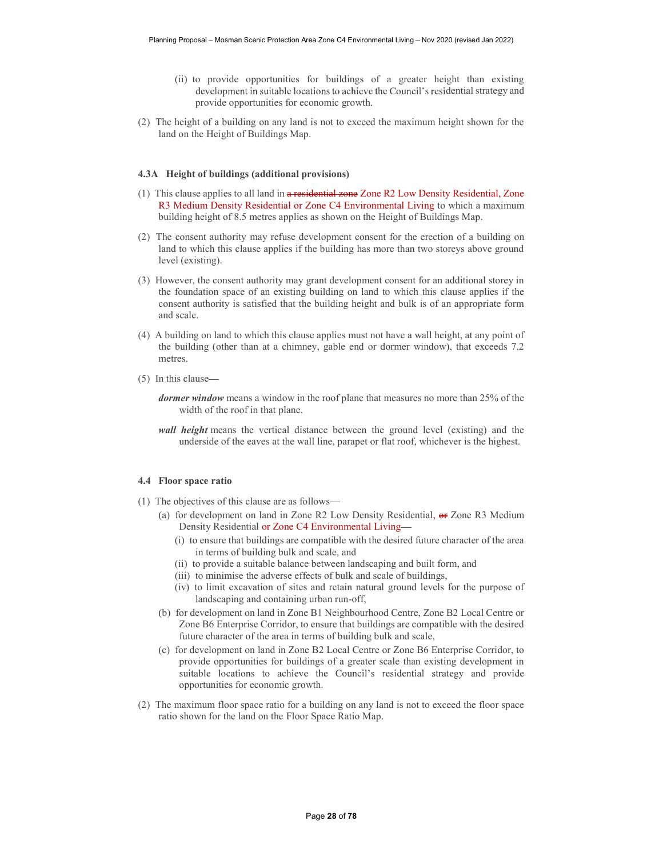- (ii) to provide opportunities for buildings of a greater height than existing development in suitable locations to achieve the Council's residential strategy and provide opportunities for economic growth.
- (2) The height of a building on any land is not to exceed the maximum height shown for the land on the Height of Buildings Map.

#### 4.3A Height of buildings (additional provisions)

- (1) This clause applies to all land in a residential zone Zone R2 Low Density Residential, Zone R3 Medium Density Residential or Zone C4 Environmental Living to which a maximum building height of 8.5 metres applies as shown on the Height of Buildings Map.
- (2) The consent authority may refuse development consent for the erection of a building on land to which this clause applies if the building has more than two storeys above ground level (existing).
- (3) However, the consent authority may grant development consent for an additional storey in the foundation space of an existing building on land to which this clause applies if the consent authority is satisfied that the building height and bulk is of an appropriate form and scale.
- (4) A building on land to which this clause applies must not have a wall height, at any point of the building (other than at a chimney, gable end or dormer window), that exceeds 7.2 metres.
- (5) In this clause
	- dormer window means a window in the roof plane that measures no more than 25% of the width of the roof in that plane.
	- wall height means the vertical distance between the ground level (existing) and the underside of the eaves at the wall line, parapet or flat roof, whichever is the highest.

#### 4.4 Floor space ratio

- (1) The objectives of this clause are as follows
	- (a) for development on land in Zone R2 Low Density Residential,  $\Theta$  Zone R3 Medium Density Residential or Zone C4 Environmental Living
		- (i) to ensure that buildings are compatible with the desired future character of the area in terms of building bulk and scale, and
		- (ii) to provide a suitable balance between landscaping and built form, and
		- (iii) to minimise the adverse effects of bulk and scale of buildings,
		- (iv) to limit excavation of sites and retain natural ground levels for the purpose of landscaping and containing urban run-off,
	- (b) for development on land in Zone B1 Neighbourhood Centre, Zone B2 Local Centre or Zone B6 Enterprise Corridor, to ensure that buildings are compatible with the desired future character of the area in terms of building bulk and scale,
	- (c) for development on land in Zone B2 Local Centre or Zone B6 Enterprise Corridor, to provide opportunities for buildings of a greater scale than existing development in suitable locations to achieve the Council's residential strategy and provide opportunities for economic growth.
- (2) The maximum floor space ratio for a building on any land is not to exceed the floor space ratio shown for the land on the Floor Space Ratio Map.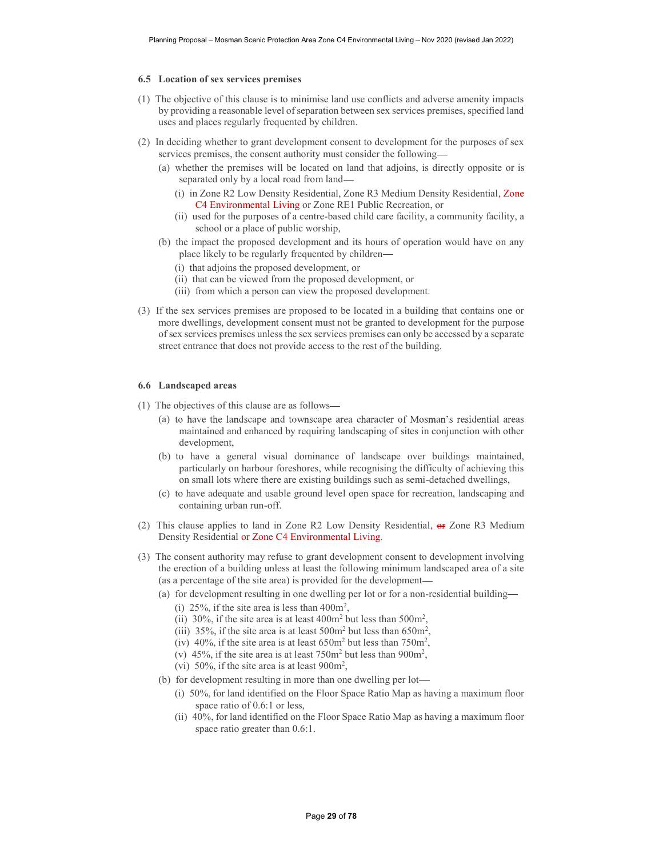#### 6.5 Location of sex services premises

- (1) The objective of this clause is to minimise land use conflicts and adverse amenity impacts by providing a reasonable level of separation between sex services premises, specified land uses and places regularly frequented by children.
- (2) In deciding whether to grant development consent to development for the purposes of sex services premises, the consent authority must consider the following
	- (a) whether the premises will be located on land that adjoins, is directly opposite or is separated only by a local road from land
		- (i) in Zone R2 Low Density Residential, Zone R3 Medium Density Residential, Zone C4 Environmental Living or Zone RE1 Public Recreation, or
		- (ii) used for the purposes of a centre-based child care facility, a community facility, a school or a place of public worship,
	- (b) the impact the proposed development and its hours of operation would have on any place likely to be regularly frequented by children
		- (i) that adjoins the proposed development, or
		- (ii) that can be viewed from the proposed development, or
		- (iii) from which a person can view the proposed development.
- (3) If the sex services premises are proposed to be located in a building that contains one or more dwellings, development consent must not be granted to development for the purpose of sex services premises unless the sex services premises can only be accessed by a separate street entrance that does not provide access to the rest of the building.

### 6.6 Landscaped areas

- (1) The objectives of this clause are as follows
	- (a) to have the landscape and townscape area character of Mosman's residential areas maintained and enhanced by requiring landscaping of sites in conjunction with other development,
	- (b) to have a general visual dominance of landscape over buildings maintained, particularly on harbour foreshores, while recognising the difficulty of achieving this on small lots where there are existing buildings such as semi-detached dwellings,
	- (c) to have adequate and usable ground level open space for recreation, landscaping and containing urban run-off.
- (2) This clause applies to land in Zone R2 Low Density Residential, or Zone R3 Medium Density Residential or Zone C4 Environmental Living.<br>
(3) The consent authority may refuse to grant development consent to development involving
- the erection of a building unless at least the following minimum landscaped area of a site (as a percentage of the site area) is provided for the development
	- (a) for development resulting in one dwelling per lot or for a non-residential building
		- (i) 25%, if the site area is less than  $400m^2$ ,
		- (i) 25%, if the site area is less than  $400m^2$ ,<br>(ii) 30%, if the site area is at least  $400m^2$  but less than  $500m^2$ , (ii) 30%, if the site area is at least  $400m^2$  but less than  $500m^2$ ,<br>(iii) 35%, if the site area is at least  $500m^2$  but less than  $650m^2$ ,
		- (iii) 35%, if the site area is at least 500m<sup>2</sup> but less than 650m<sup>2</sup>,<br>(iv) 40%, if the site area is at least 650m<sup>2</sup> but less than 750m<sup>2</sup>,<br>(v) 45%, if the site area is at least 750m<sup>2</sup> but less than 900m<sup>2</sup>,
		-
		- (v) 45%, if the site area is at least  $750m^2$  but less than  $900m^2$ , (vi) 50%, if the site area is at least  $900m^2$ ,
		-
	- (vi) 50%, if the site area is at least  $900m^2$ ,<br>(b) for development resulting in more than one dwelling per lot—
		- (i) 50%, for land identified on the Floor Space Ratio Map as having a maximum floor space ratio of 0.6:1 or less,
		- (ii) 40%, for land identified on the Floor Space Ratio Map as having a maximum floor space ratio greater than 0.6:1.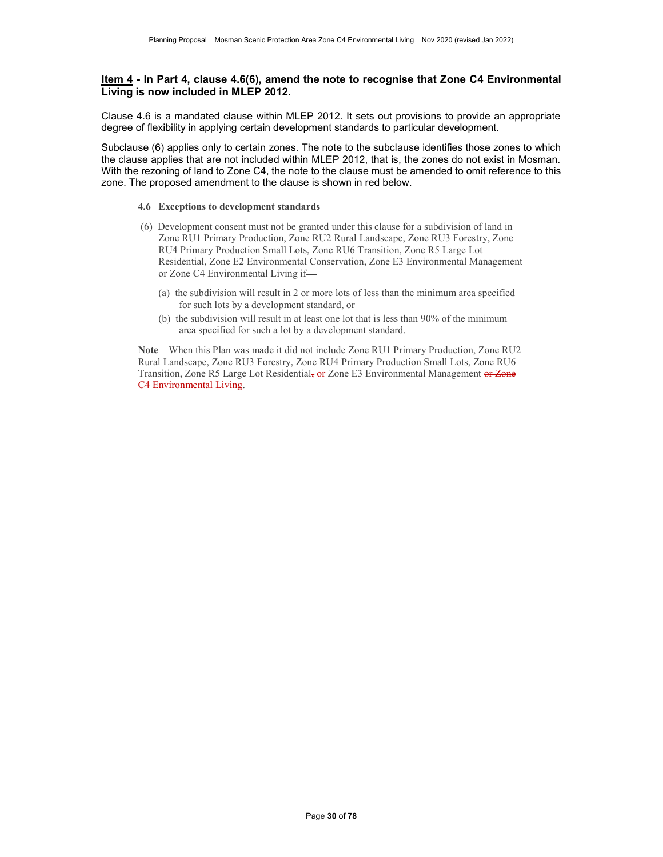# Item 4 - In Part 4, clause 4.6(6), amend the note to recognise that Zone C4 Environmental Living is now included in MLEP 2012.

Clause 4.6 is a mandated clause within MLEP 2012. It sets out provisions to provide an appropriate degree of flexibility in applying certain development standards to particular development.

Subclause (6) applies only to certain zones. The note to the subclause identifies those zones to which the clause applies that are not included within MLEP 2012, that is, the zones do not exist in Mosman. With the rezoning of land to Zone C4, the note to the clause must be amended to omit reference to this zone. The proposed amendment to the clause is shown in red below.

## 4.6 Exceptions to development standards

- (6) Development consent must not be granted under this clause for a subdivision of land in Zone RU1 Primary Production, Zone RU2 Rural Landscape, Zone RU3 Forestry, Zone RU4 Primary Production Small Lots, Zone RU6 Transition, Zone R5 Large Lot Residential, Zone E2 Environmental Conservation, Zone E3 Environmental Management or Zone C4 Environmental Living if
	- (a) the subdivision will result in 2 or more lots of less than the minimum area specified for such lots by a development standard, or
	- (b) the subdivision will result in at least one lot that is less than 90% of the minimum area specified for such a lot by a development standard.

Note-When this Plan was made it did not include Zone RU1 Primary Production, Zone RU2 Rural Landscape, Zone RU3 Forestry, Zone RU4 Primary Production Small Lots, Zone RU6 Transition, Zone R5 Large Lot Residential, or Zone E3 Environmental Management or Zone C4 Environmental Living.